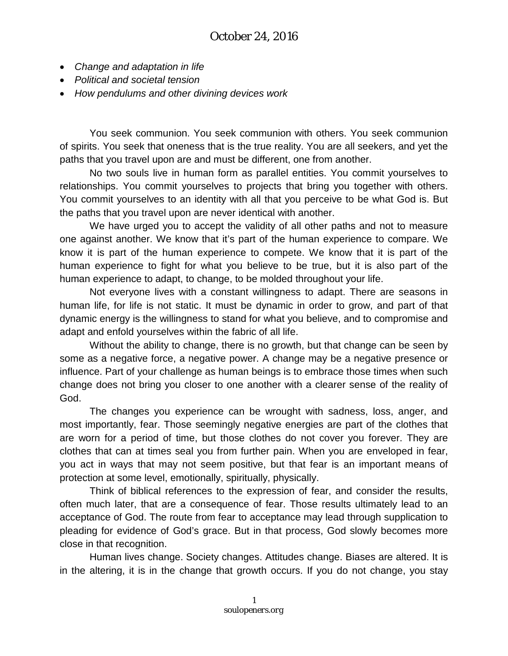- *Change and adaptation in life*
- *Political and societal tension*
- *How pendulums and other divining devices work*

You seek communion. You seek communion with others. You seek communion of spirits. You seek that oneness that is the true reality. You are all seekers, and yet the paths that you travel upon are and must be different, one from another.

No two souls live in human form as parallel entities. You commit yourselves to relationships. You commit yourselves to projects that bring you together with others. You commit yourselves to an identity with all that you perceive to be what God is. But the paths that you travel upon are never identical with another.

We have urged you to accept the validity of all other paths and not to measure one against another. We know that it's part of the human experience to compare. We know it is part of the human experience to compete. We know that it is part of the human experience to fight for what you believe to be true, but it is also part of the human experience to adapt, to change, to be molded throughout your life.

Not everyone lives with a constant willingness to adapt. There are seasons in human life, for life is not static. It must be dynamic in order to grow, and part of that dynamic energy is the willingness to stand for what you believe, and to compromise and adapt and enfold yourselves within the fabric of all life.

Without the ability to change, there is no growth, but that change can be seen by some as a negative force, a negative power. A change may be a negative presence or influence. Part of your challenge as human beings is to embrace those times when such change does not bring you closer to one another with a clearer sense of the reality of God.

The changes you experience can be wrought with sadness, loss, anger, and most importantly, fear. Those seemingly negative energies are part of the clothes that are worn for a period of time, but those clothes do not cover you forever. They are clothes that can at times seal you from further pain. When you are enveloped in fear, you act in ways that may not seem positive, but that fear is an important means of protection at some level, emotionally, spiritually, physically.

Think of biblical references to the expression of fear, and consider the results, often much later, that are a consequence of fear. Those results ultimately lead to an acceptance of God. The route from fear to acceptance may lead through supplication to pleading for evidence of God's grace. But in that process, God slowly becomes more close in that recognition.

Human lives change. Society changes. Attitudes change. Biases are altered. It is in the altering, it is in the change that growth occurs. If you do not change, you stay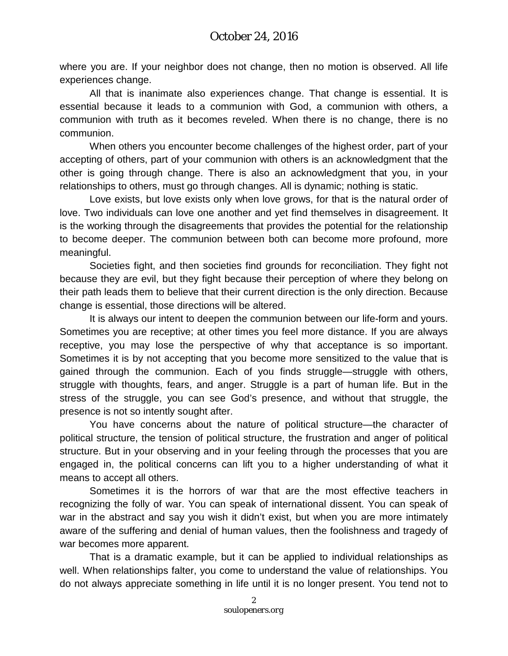where you are. If your neighbor does not change, then no motion is observed. All life experiences change.

All that is inanimate also experiences change. That change is essential. It is essential because it leads to a communion with God, a communion with others, a communion with truth as it becomes reveled. When there is no change, there is no communion.

When others you encounter become challenges of the highest order, part of your accepting of others, part of your communion with others is an acknowledgment that the other is going through change. There is also an acknowledgment that you, in your relationships to others, must go through changes. All is dynamic; nothing is static.

Love exists, but love exists only when love grows, for that is the natural order of love. Two individuals can love one another and yet find themselves in disagreement. It is the working through the disagreements that provides the potential for the relationship to become deeper. The communion between both can become more profound, more meaningful.

Societies fight, and then societies find grounds for reconciliation. They fight not because they are evil, but they fight because their perception of where they belong on their path leads them to believe that their current direction is the only direction. Because change is essential, those directions will be altered.

It is always our intent to deepen the communion between our life-form and yours. Sometimes you are receptive; at other times you feel more distance. If you are always receptive, you may lose the perspective of why that acceptance is so important. Sometimes it is by not accepting that you become more sensitized to the value that is gained through the communion. Each of you finds struggle—struggle with others, struggle with thoughts, fears, and anger. Struggle is a part of human life. But in the stress of the struggle, you can see God's presence, and without that struggle, the presence is not so intently sought after.

You have concerns about the nature of political structure—the character of political structure, the tension of political structure, the frustration and anger of political structure. But in your observing and in your feeling through the processes that you are engaged in, the political concerns can lift you to a higher understanding of what it means to accept all others.

Sometimes it is the horrors of war that are the most effective teachers in recognizing the folly of war. You can speak of international dissent. You can speak of war in the abstract and say you wish it didn't exist, but when you are more intimately aware of the suffering and denial of human values, then the foolishness and tragedy of war becomes more apparent.

That is a dramatic example, but it can be applied to individual relationships as well. When relationships falter, you come to understand the value of relationships. You do not always appreciate something in life until it is no longer present. You tend not to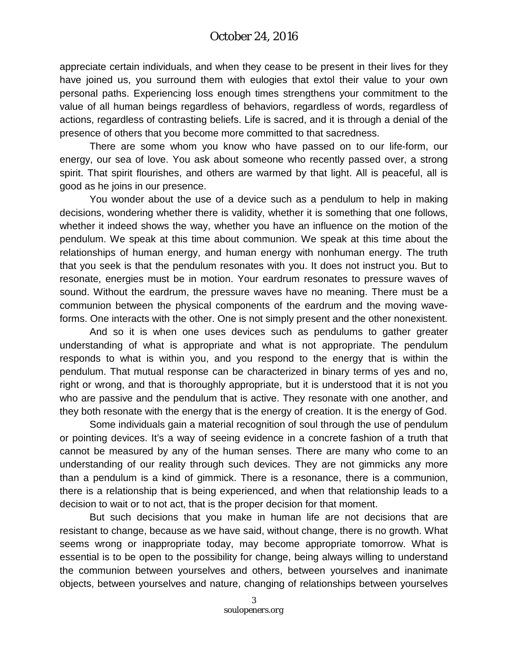appreciate certain individuals, and when they cease to be present in their lives for they have joined us, you surround them with eulogies that extol their value to your own personal paths. Experiencing loss enough times strengthens your commitment to the value of all human beings regardless of behaviors, regardless of words, regardless of actions, regardless of contrasting beliefs. Life is sacred, and it is through a denial of the presence of others that you become more committed to that sacredness.

There are some whom you know who have passed on to our life-form, our energy, our sea of love. You ask about someone who recently passed over, a strong spirit. That spirit flourishes, and others are warmed by that light. All is peaceful, all is good as he joins in our presence.

You wonder about the use of a device such as a pendulum to help in making decisions, wondering whether there is validity, whether it is something that one follows, whether it indeed shows the way, whether you have an influence on the motion of the pendulum. We speak at this time about communion. We speak at this time about the relationships of human energy, and human energy with nonhuman energy. The truth that you seek is that the pendulum resonates with you. It does not instruct you. But to resonate, energies must be in motion. Your eardrum resonates to pressure waves of sound. Without the eardrum, the pressure waves have no meaning. There must be a communion between the physical components of the eardrum and the moving waveforms. One interacts with the other. One is not simply present and the other nonexistent.

And so it is when one uses devices such as pendulums to gather greater understanding of what is appropriate and what is not appropriate. The pendulum responds to what is within you, and you respond to the energy that is within the pendulum. That mutual response can be characterized in binary terms of yes and no, right or wrong, and that is thoroughly appropriate, but it is understood that it is not you who are passive and the pendulum that is active. They resonate with one another, and they both resonate with the energy that is the energy of creation. It is the energy of God.

Some individuals gain a material recognition of soul through the use of pendulum or pointing devices. It's a way of seeing evidence in a concrete fashion of a truth that cannot be measured by any of the human senses. There are many who come to an understanding of our reality through such devices. They are not gimmicks any more than a pendulum is a kind of gimmick. There is a resonance, there is a communion, there is a relationship that is being experienced, and when that relationship leads to a decision to wait or to not act, that is the proper decision for that moment.

But such decisions that you make in human life are not decisions that are resistant to change, because as we have said, without change, there is no growth. What seems wrong or inappropriate today, may become appropriate tomorrow. What is essential is to be open to the possibility for change, being always willing to understand the communion between yourselves and others, between yourselves and inanimate objects, between yourselves and nature, changing of relationships between yourselves